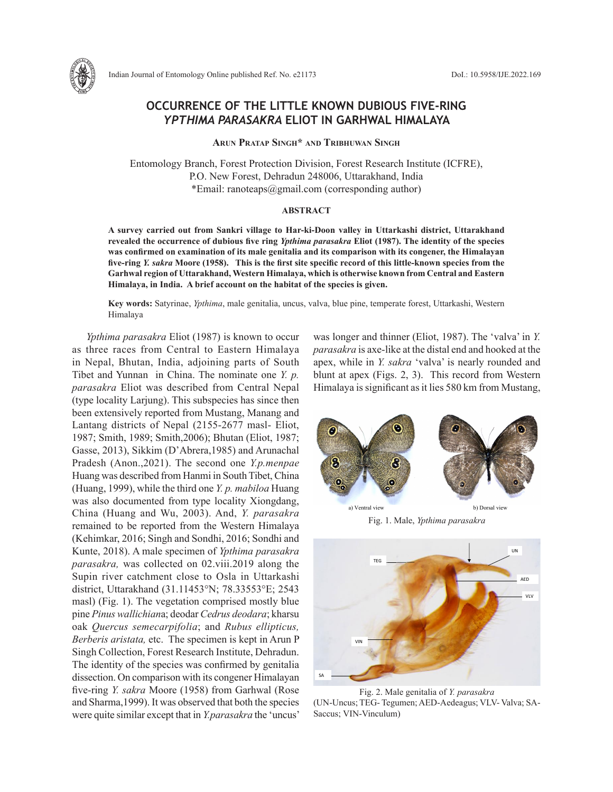

## **OCCURRENCE OF THE LITTLE KNOWN DUBIOUS FIVE-RING**  *YPTHIMA PARASAKRA* **ELIOT IN GARHWAL HIMALAYA**

**Arun Pratap Singh\* and Tribhuwan Singh**

Entomology Branch, Forest Protection Division, Forest Research Institute (ICFRE), P.O. New Forest, Dehradun 248006, Uttarakhand, India \*Email: ranoteaps@gmail.com (corresponding author)

## **ABSTRACT**

**A survey carried out from Sankri village to Har-ki-Doon valley in Uttarkashi district, Uttarakhand revealed the occurrence of dubious five ring** *Ypthima parasakra* **Eliot (1987). The identity of the species was confirmed on examination of its male genitalia and its comparison with its congener, the Himalayan five-ring** *Y. sakra* **Moore (1958). This is the first site specific record of this little-known species from the Garhwal region of Uttarakhand, Western Himalaya, which is otherwise known from Central and Eastern Himalaya, in India. A brief account on the habitat of the species is given.** 

**Key words:** Satyrinae, *Ypthima*, male genitalia, uncus, valva, blue pine, temperate forest, Uttarkashi, Western Himalaya

*Ypthima parasakra* Eliot (1987) is known to occur as three races from Central to Eastern Himalaya in Nepal, Bhutan, India, adjoining parts of South Tibet and Yunnan in China. The nominate one *Y. p. parasakra* Eliot was described from Central Nepal (type locality Larjung). This subspecies has since then been extensively reported from Mustang, Manang and Lantang districts of Nepal (2155-2677 masl- Eliot, 1987; Smith, 1989; Smith,2006); Bhutan (Eliot, 1987; Gasse, 2013), Sikkim (D'Abrera,1985) and Arunachal Pradesh (Anon.,2021). The second one *Y.p.menpae*  Huang was described from Hanmi in South Tibet, China (Huang, 1999), while the third one *Y. p. mabiloa* Huang was also documented from type locality Xiongdang, China (Huang and Wu, 2003). And, *Y. parasakra* remained to be reported from the Western Himalaya (Kehimkar, 2016; Singh and Sondhi, 2016; Sondhi and Kunte, 2018). A male specimen of *Ypthima parasakra parasakra,* was collected on 02.viii.2019 along the Supin river catchment close to Osla in Uttarkashi district, Uttarakhand (31.11453°N; 78.33553°E; 2543 masl) (Fig. 1). The vegetation comprised mostly blue pine *Pinus wallichian*a; deodar *Cedrus deodara*; kharsu oak *Quercus semecarpifolia*; and *Rubus ellipticus, Berberis aristata,* etc. The specimen is kept in Arun P Singh Collection, Forest Research Institute, Dehradun. The identity of the species was confirmed by genitalia dissection. On comparison with its congener Himalayan five-ring *Y. sakra* Moore (1958) from Garhwal (Rose and Sharma,1999). It was observed that both the species were quite similar except that in *Y.parasakra* the 'uncus'

was longer and thinner (Eliot, 1987). The 'valva' in *Y. parasakra* is axe-like at the distal end and hooked at the apex, while in *Y. sakra* 'valva' is nearly rounded and blunt at apex (Figs. 2, 3). This record from Western Himalaya is significant as it lies 580 km from Mustang,



Fig. 1. Male, *Ypthima parasakra* Eliot Fig. 1. Male, *Ypthima parasakra* Eliot Fig. 1. Male, *Ypthima parasakra*



Fig. 2. Male genitalia of *Y. parasakra* (UN-Uncus; TEG- Tegumen; AED-Aedeagus; VLV- Valva; SA-Saccus; VIN-Vinculum)